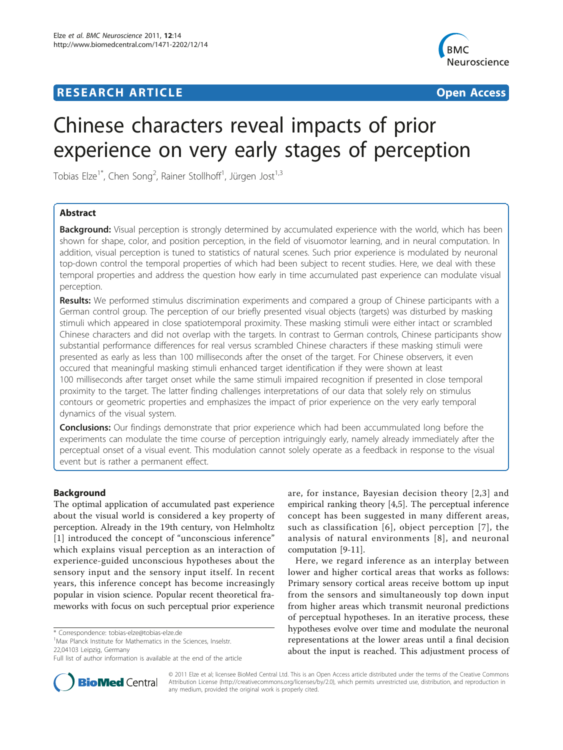## **RESEARCH ARTICLE Example 2018 12:30 THE Open Access**



# Chinese characters reveal impacts of prior experience on very early stages of perception

Tobias Elze<sup>1\*</sup>, Chen Song<sup>2</sup>, Rainer Stollhoff<sup>1</sup>, Jürgen Jost<sup>1,3</sup>

## Abstract

**Background:** Visual perception is strongly determined by accumulated experience with the world, which has been shown for shape, color, and position perception, in the field of visuomotor learning, and in neural computation. In addition, visual perception is tuned to statistics of natural scenes. Such prior experience is modulated by neuronal top-down control the temporal properties of which had been subject to recent studies. Here, we deal with these temporal properties and address the question how early in time accumulated past experience can modulate visual perception.

Results: We performed stimulus discrimination experiments and compared a group of Chinese participants with a German control group. The perception of our briefly presented visual objects (targets) was disturbed by masking stimuli which appeared in close spatiotemporal proximity. These masking stimuli were either intact or scrambled Chinese characters and did not overlap with the targets. In contrast to German controls, Chinese participants show substantial performance differences for real versus scrambled Chinese characters if these masking stimuli were presented as early as less than 100 milliseconds after the onset of the target. For Chinese observers, it even occured that meaningful masking stimuli enhanced target identification if they were shown at least 100 milliseconds after target onset while the same stimuli impaired recognition if presented in close temporal proximity to the target. The latter finding challenges interpretations of our data that solely rely on stimulus contours or geometric properties and emphasizes the impact of prior experience on the very early temporal dynamics of the visual system.

**Conclusions:** Our findings demonstrate that prior experience which had been accummulated long before the experiments can modulate the time course of perception intriguingly early, namely already immediately after the perceptual onset of a visual event. This modulation cannot solely operate as a feedback in response to the visual event but is rather a permanent effect.

## Background

The optimal application of accumulated past experience about the visual world is considered a key property of perception. Already in the 19th century, von Helmholtz [[1](#page-9-0)] introduced the concept of "unconscious inference" which explains visual perception as an interaction of experience-guided unconscious hypotheses about the sensory input and the sensory input itself. In recent years, this inference concept has become increasingly popular in vision science. Popular recent theoretical frameworks with focus on such perceptual prior experience

<sup>1</sup>Max Planck Institute for Mathematics in the Sciences, Inselstr. 22,04103 Leipzig, Germany

are, for instance, Bayesian decision theory [[2,3\]](#page-9-0) and empirical ranking theory [[4,5\]](#page-9-0). The perceptual inference concept has been suggested in many different areas, such as classification [[6\]](#page-9-0), object perception [[7\]](#page-9-0), the analysis of natural environments [[8](#page-9-0)], and neuronal computation [[9-11](#page-9-0)].

Here, we regard inference as an interplay between lower and higher cortical areas that works as follows: Primary sensory cortical areas receive bottom up input from the sensors and simultaneously top down input from higher areas which transmit neuronal predictions of perceptual hypotheses. In an iterative process, these hypotheses evolve over time and modulate the neuronal representations at the lower areas until a final decision about the input is reached. This adjustment process of



© 2011 Elze et al; licensee BioMed Central Ltd. This is an Open Access article distributed under the terms of the Creative Commons Attribution License [\(http://creativecommons.org/licenses/by/2.0](http://creativecommons.org/licenses/by/2.0)), which permits unrestricted use, distribution, and reproduction in any medium, provided the original work is properly cited.

<sup>\*</sup> Correspondence: [tobias-elze@tobias-elze.de](mailto:tobias-elze@tobias-elze.de)

Full list of author information is available at the end of the article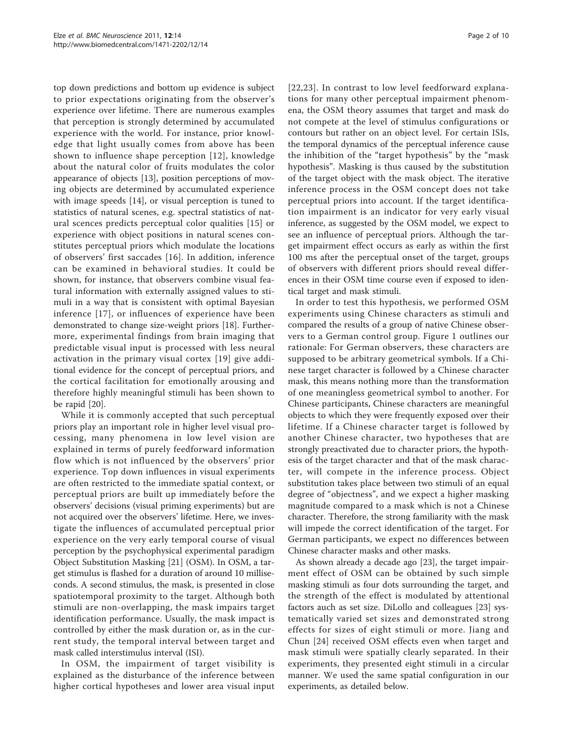top down predictions and bottom up evidence is subject to prior expectations originating from the observer's experience over lifetime. There are numerous examples that perception is strongly determined by accumulated experience with the world. For instance, prior knowledge that light usually comes from above has been shown to influence shape perception [[12](#page-9-0)], knowledge about the natural color of fruits modulates the color appearance of objects [\[13](#page-9-0)], position perceptions of moving objects are determined by accumulated experience with image speeds [[14\]](#page-9-0), or visual perception is tuned to statistics of natural scenes, e.g. spectral statistics of natural scences predicts perceptual color qualities [[15\]](#page-9-0) or experience with object positions in natural scenes constitutes perceptual priors which modulate the locations of observers' first saccades [\[16\]](#page-9-0). In addition, inference can be examined in behavioral studies. It could be shown, for instance, that observers combine visual featural information with externally assigned values to stimuli in a way that is consistent with optimal Bayesian inference [[17](#page-9-0)], or influences of experience have been demonstrated to change size-weight priors [\[18\]](#page-9-0). Furthermore, experimental findings from brain imaging that predictable visual input is processed with less neural activation in the primary visual cortex [[19](#page-9-0)] give additional evidence for the concept of perceptual priors, and the cortical facilitation for emotionally arousing and therefore highly meaningful stimuli has been shown to be rapid [[20\]](#page-9-0).

While it is commonly accepted that such perceptual priors play an important role in higher level visual processing, many phenomena in low level vision are explained in terms of purely feedforward information flow which is not influenced by the observers' prior experience. Top down influences in visual experiments are often restricted to the immediate spatial context, or perceptual priors are built up immediately before the observers' decisions (visual priming experiments) but are not acquired over the observers' lifetime. Here, we investigate the influences of accumulated perceptual prior experience on the very early temporal course of visual perception by the psychophysical experimental paradigm Object Substitution Masking [[21\]](#page-9-0) (OSM). In OSM, a target stimulus is flashed for a duration of around 10 milliseconds. A second stimulus, the mask, is presented in close spatiotemporal proximity to the target. Although both stimuli are non-overlapping, the mask impairs target identification performance. Usually, the mask impact is controlled by either the mask duration or, as in the current study, the temporal interval between target and mask called interstimulus interval (ISI).

In OSM, the impairment of target visibility is explained as the disturbance of the inference between higher cortical hypotheses and lower area visual input

[[22,23](#page-9-0)]. In contrast to low level feedforward explanations for many other perceptual impairment phenomena, the OSM theory assumes that target and mask do not compete at the level of stimulus configurations or contours but rather on an object level. For certain ISIs, the temporal dynamics of the perceptual inference cause the inhibition of the "target hypothesis" by the "mask hypothesis". Masking is thus caused by the substitution of the target object with the mask object. The iterative inference process in the OSM concept does not take perceptual priors into account. If the target identification impairment is an indicator for very early visual inference, as suggested by the OSM model, we expect to see an influence of perceptual priors. Although the target impairment effect occurs as early as within the first 100 ms after the perceptual onset of the target, groups of observers with different priors should reveal differences in their OSM time course even if exposed to identical target and mask stimuli.

In order to test this hypothesis, we performed OSM experiments using Chinese characters as stimuli and compared the results of a group of native Chinese observers to a German control group. Figure [1](#page-2-0) outlines our rationale: For German observers, these characters are supposed to be arbitrary geometrical symbols. If a Chinese target character is followed by a Chinese character mask, this means nothing more than the transformation of one meaningless geometrical symbol to another. For Chinese participants, Chinese characters are meaningful objects to which they were frequently exposed over their lifetime. If a Chinese character target is followed by another Chinese character, two hypotheses that are strongly preactivated due to character priors, the hypothesis of the target character and that of the mask character, will compete in the inference process. Object substitution takes place between two stimuli of an equal degree of "objectness", and we expect a higher masking magnitude compared to a mask which is not a Chinese character. Therefore, the strong familiarity with the mask will impede the correct identification of the target. For German participants, we expect no differences between Chinese character masks and other masks.

As shown already a decade ago [[23](#page-9-0)], the target impairment effect of OSM can be obtained by such simple masking stimuli as four dots surrounding the target, and the strength of the effect is modulated by attentional factors auch as set size. DiLollo and colleagues [[23](#page-9-0)] systematically varied set sizes and demonstrated strong effects for sizes of eight stimuli or more. Jiang and Chun [[24\]](#page-9-0) received OSM effects even when target and mask stimuli were spatially clearly separated. In their experiments, they presented eight stimuli in a circular manner. We used the same spatial configuration in our experiments, as detailed below.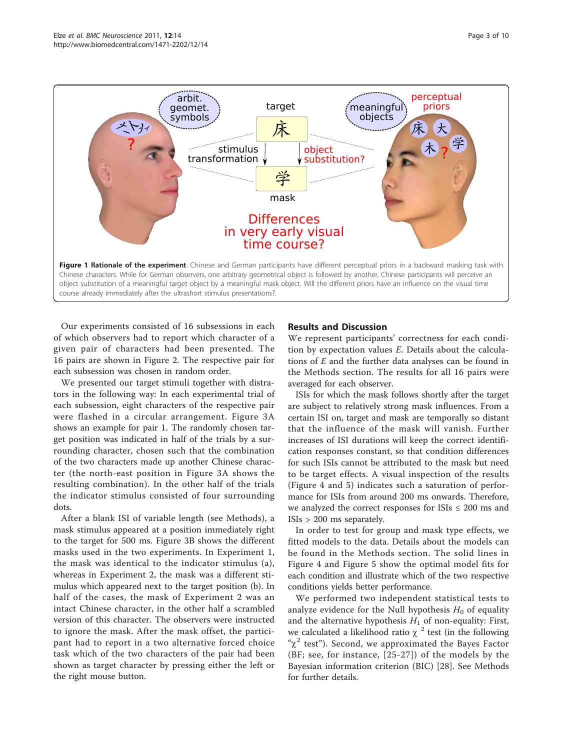<span id="page-2-0"></span>

Our experiments consisted of 16 subsessions in each of which observers had to report which character of a given pair of characters had been presented. The 16 pairs are shown in Figure [2.](#page-3-0) The respective pair for each subsession was chosen in random order.

We presented our target stimuli together with distrators in the following way: In each experimental trial of each subsession, eight characters of the respective pair were flashed in a circular arrangement. Figure [3A](#page-3-0) shows an example for pair 1. The randomly chosen target position was indicated in half of the trials by a surrounding character, chosen such that the combination of the two characters made up another Chinese character (the north-east position in Figure [3A](#page-3-0) shows the resulting combination). In the other half of the trials the indicator stimulus consisted of four surrounding dots.

After a blank ISI of variable length (see Methods), a mask stimulus appeared at a position immediately right to the target for 500 ms. Figure [3B](#page-3-0) shows the different masks used in the two experiments. In Experiment 1, the mask was identical to the indicator stimulus (a), whereas in Experiment 2, the mask was a different stimulus which appeared next to the target position (b). In half of the cases, the mask of Experiment 2 was an intact Chinese character, in the other half a scrambled version of this character. The observers were instructed to ignore the mask. After the mask offset, the participant had to report in a two alternative forced choice task which of the two characters of the pair had been shown as target character by pressing either the left or the right mouse button.

## Results and Discussion

We represent participants' correctness for each condition by expectation values E. Details about the calculations of  $E$  and the further data analyses can be found in the Methods section. The results for all 16 pairs were averaged for each observer.

ISIs for which the mask follows shortly after the target are subject to relatively strong mask influences. From a certain ISI on, target and mask are temporally so distant that the influence of the mask will vanish. Further increases of ISI durations will keep the correct identification responses constant, so that condition differences for such ISIs cannot be attributed to the mask but need to be target effects. A visual inspection of the results (Figure [4](#page-4-0) and [5](#page-5-0)) indicates such a saturation of performance for ISIs from around 200 ms onwards. Therefore, we analyzed the correct responses for ISIs  $\leq 200$  ms and ISIs > 200 ms separately.

In order to test for group and mask type effects, we fitted models to the data. Details about the models can be found in the Methods section. The solid lines in Figure [4](#page-4-0) and Figure [5](#page-5-0) show the optimal model fits for each condition and illustrate which of the two respective conditions yields better performance.

We performed two independent statistical tests to analyze evidence for the Null hypothesis  $H_0$  of equality and the alternative hypothesis  $H_1$  of non-equality: First, we calculated a likelihood ratio  $\chi^2$  test (in the following " $\chi^2$  test"). Second, we approximated the Bayes Factor (BF; see, for instance, [[25](#page-9-0)-[27\]](#page-9-0)) of the models by the Bayesian information criterion (BIC) [[28\]](#page-9-0). See Methods for further details.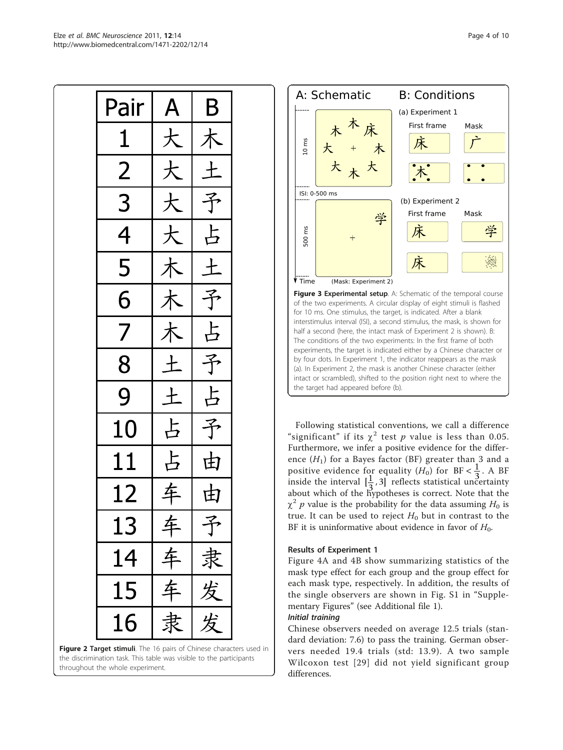

<span id="page-3-0"></span>

Following statistical conventions, we call a difference "significant" if its  $\chi^2$  test p value is less than 0.05. Furthermore, we infer a positive evidence for the difference  $(H_1)$  for a Bayes factor (BF) greater than 3 and a positive evidence for equality  $(H_0)$  for BF <  $\frac{1}{2}$ . A BF inside the interval  $\left[\frac{1}{3}, 3\right]$  reflects statistical uncertainty about which of the hypotheses is correct. Note that the  $\chi^2$  p value is the probability for the data assuming  $H_0$  is true. It can be used to reject  $H_0$  but in contrast to the BF it is uninformative about evidence in favor of  $H_0$ .

#### Results of Experiment 1

Figure [4A](#page-4-0) and [4B](#page-4-0) show summarizing statistics of the mask type effect for each group and the group effect for each mask type, respectively. In addition, the results of the single observers are shown in Fig. S1 in "Supplementary Figures" (see Additional file [1](#page-9-0)).

## Initial training

Chinese observers needed on average 12.5 trials (standard deviation: 7.6) to pass the training. German observers needed 19.4 trials (std: 13.9). A two sample Wilcoxon test [[29](#page-9-0)] did not yield significant group differences.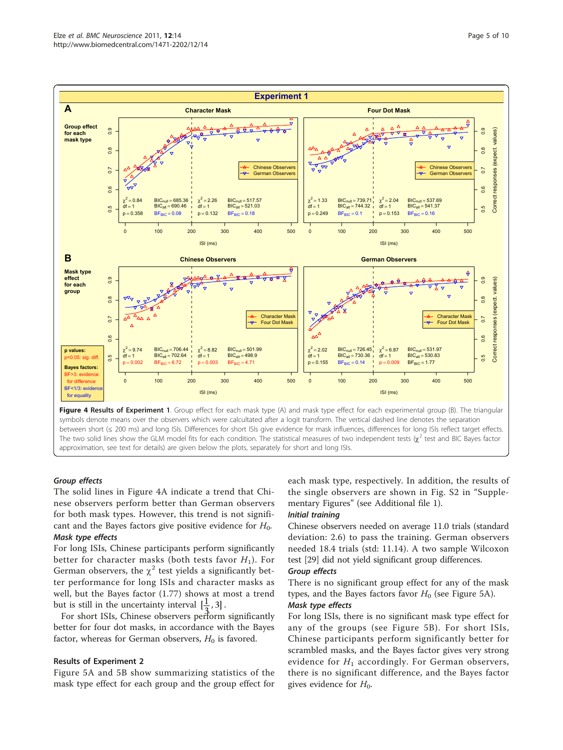<span id="page-4-0"></span>

The solid lines in Figure 4A indicate a trend that Chinese observers perform better than German observers for both mask types. However, this trend is not significant and the Bayes factors give positive evidence for  $H_0$ . Mask type effects

For long ISIs, Chinese participants perform significantly better for character masks (both tests favor  $H_1$ ). For German observers, the  $\chi^2$  test yields a significantly better performance for long ISIs and character masks as well, but the Bayes factor (1.77) shows at most a trend but is still in the uncertainty interval  $\left[\frac{1}{3}, 3\right]$ .

For short ISIs, Chinese observers perform significantly better for four dot masks, in accordance with the Bayes factor, whereas for German observers,  $H_0$  is favored.

#### Results of Experiment 2

Figure [5A](#page-5-0) and [5B](#page-5-0) show summarizing statistics of the mask type effect for each group and the group effect for each mask type, respectively. In addition, the results of the single observers are shown in Fig. S2 in "Supplementary Figures" (see Additional file [1](#page-9-0)).

#### Initial training

Chinese observers needed on average 11.0 trials (standard deviation: 2.6) to pass the training. German observers needed 18.4 trials (std: 11.14). A two sample Wilcoxon test [\[29\]](#page-9-0) did not yield significant group differences.

#### Group effects

There is no significant group effect for any of the mask types, and the Bayes factors favor  $H_0$  (see Figure [5A](#page-5-0)).

## Mask type effects

For long ISIs, there is no significant mask type effect for any of the groups (see Figure [5B](#page-5-0)). For short ISIs, Chinese participants perform significantly better for scrambled masks, and the Bayes factor gives very strong evidence for  $H_1$  accordingly. For German observers, there is no significant difference, and the Bayes factor gives evidence for  $H_0$ .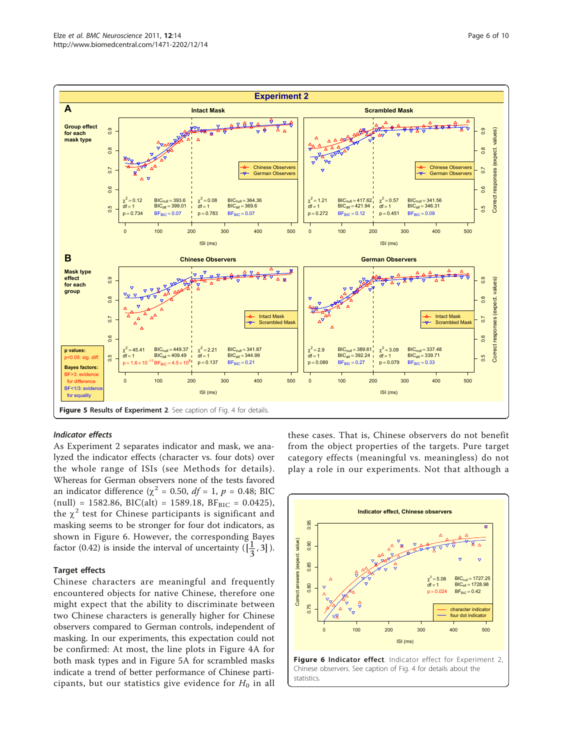<span id="page-5-0"></span>

#### Indicator effects

As Experiment 2 separates indicator and mask, we analyzed the indicator effects (character vs. four dots) over the whole range of ISIs (see Methods for details). Whereas for German observers none of the tests favored an indicator difference ( $\chi^2$  = 0.50, df = 1, p = 0.48; BIC  $null) = 1582.86$ , BIC(alt) = 1589.18, BF<sub>BIC</sub> = 0.0425), the  $\chi^2$  test for Chinese participants is significant and masking seems to be stronger for four dot indicators, as shown in Figure 6. However, the corresponding Bayes factor (0.42) is inside the interval of uncertainty  $(\left[\frac{1}{3}, 3\right])$ .

#### Target effects

Chinese characters are meaningful and frequently encountered objects for native Chinese, therefore one might expect that the ability to discriminate between two Chinese characters is generally higher for Chinese observers compared to German controls, independent of masking. In our experiments, this expectation could not be confirmed: At most, the line plots in Figure [4A](#page-4-0) for both mask types and in Figure 5A for scrambled masks indicate a trend of better performance of Chinese participants, but our statistics give evidence for  $H_0$  in all these cases. That is, Chinese observers do not benefit from the object properties of the targets. Pure target category effects (meaningful vs. meaningless) do not play a role in our experiments. Not that although a



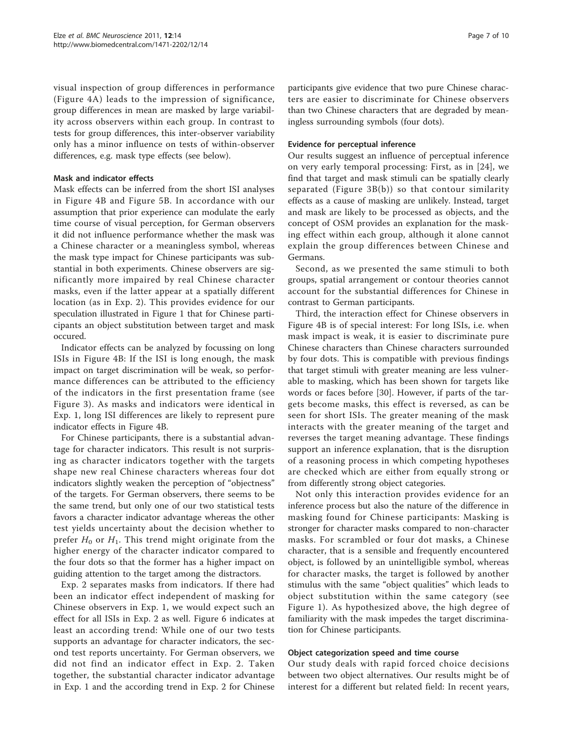visual inspection of group differences in performance (Figure [4A](#page-4-0)) leads to the impression of significance, group differences in mean are masked by large variability across observers within each group. In contrast to tests for group differences, this inter-observer variability only has a minor influence on tests of within-observer differences, e.g. mask type effects (see below).

#### Mask and indicator effects

Mask effects can be inferred from the short ISI analyses in Figure [4B](#page-4-0) and Figure [5B.](#page-5-0) In accordance with our assumption that prior experience can modulate the early time course of visual perception, for German observers it did not influence performance whether the mask was a Chinese character or a meaningless symbol, whereas the mask type impact for Chinese participants was substantial in both experiments. Chinese observers are significantly more impaired by real Chinese character masks, even if the latter appear at a spatially different location (as in Exp. 2). This provides evidence for our speculation illustrated in Figure [1](#page-2-0) that for Chinese participants an object substitution between target and mask occured.

Indicator effects can be analyzed by focussing on long ISIs in Figure [4B](#page-4-0): If the ISI is long enough, the mask impact on target discrimination will be weak, so performance differences can be attributed to the efficiency of the indicators in the first presentation frame (see Figure [3\)](#page-3-0). As masks and indicators were identical in Exp. 1, long ISI differences are likely to represent pure indicator effects in Figure [4B.](#page-4-0)

For Chinese participants, there is a substantial advantage for character indicators. This result is not surprising as character indicators together with the targets shape new real Chinese characters whereas four dot indicators slightly weaken the perception of "objectness" of the targets. For German observers, there seems to be the same trend, but only one of our two statistical tests favors a character indicator advantage whereas the other test yields uncertainty about the decision whether to prefer  $H_0$  or  $H_1$ . This trend might originate from the higher energy of the character indicator compared to the four dots so that the former has a higher impact on guiding attention to the target among the distractors.

Exp. 2 separates masks from indicators. If there had been an indicator effect independent of masking for Chinese observers in Exp. 1, we would expect such an effect for all ISIs in Exp. 2 as well. Figure [6](#page-5-0) indicates at least an according trend: While one of our two tests supports an advantage for character indicators, the second test reports uncertainty. For German observers, we did not find an indicator effect in Exp. 2. Taken together, the substantial character indicator advantage in Exp. 1 and the according trend in Exp. 2 for Chinese

participants give evidence that two pure Chinese characters are easier to discriminate for Chinese observers than two Chinese characters that are degraded by meaningless surrounding symbols (four dots).

#### Evidence for perceptual inference

Our results suggest an influence of perceptual inference on very early temporal processing: First, as in [[24](#page-9-0)], we find that target and mask stimuli can be spatially clearly separated (Figure [3B\(b\)\)](#page-3-0) so that contour similarity effects as a cause of masking are unlikely. Instead, target and mask are likely to be processed as objects, and the concept of OSM provides an explanation for the masking effect within each group, although it alone cannot explain the group differences between Chinese and Germans.

Second, as we presented the same stimuli to both groups, spatial arrangement or contour theories cannot account for the substantial differences for Chinese in contrast to German participants.

Third, the interaction effect for Chinese observers in Figure [4B](#page-4-0) is of special interest: For long ISIs, i.e. when mask impact is weak, it is easier to discriminate pure Chinese characters than Chinese characters surrounded by four dots. This is compatible with previous findings that target stimuli with greater meaning are less vulnerable to masking, which has been shown for targets like words or faces before [\[30](#page-9-0)]. However, if parts of the targets become masks, this effect is reversed, as can be seen for short ISIs. The greater meaning of the mask interacts with the greater meaning of the target and reverses the target meaning advantage. These findings support an inference explanation, that is the disruption of a reasoning process in which competing hypotheses are checked which are either from equally strong or from differently strong object categories.

Not only this interaction provides evidence for an inference process but also the nature of the difference in masking found for Chinese participants: Masking is stronger for character masks compared to non-character masks. For scrambled or four dot masks, a Chinese character, that is a sensible and frequently encountered object, is followed by an unintelligible symbol, whereas for character masks, the target is followed by another stimulus with the same "object qualities" which leads to object substitution within the same category (see Figure [1](#page-2-0)). As hypothesized above, the high degree of familiarity with the mask impedes the target discrimination for Chinese participants.

#### Object categorization speed and time course

Our study deals with rapid forced choice decisions between two object alternatives. Our results might be of interest for a different but related field: In recent years,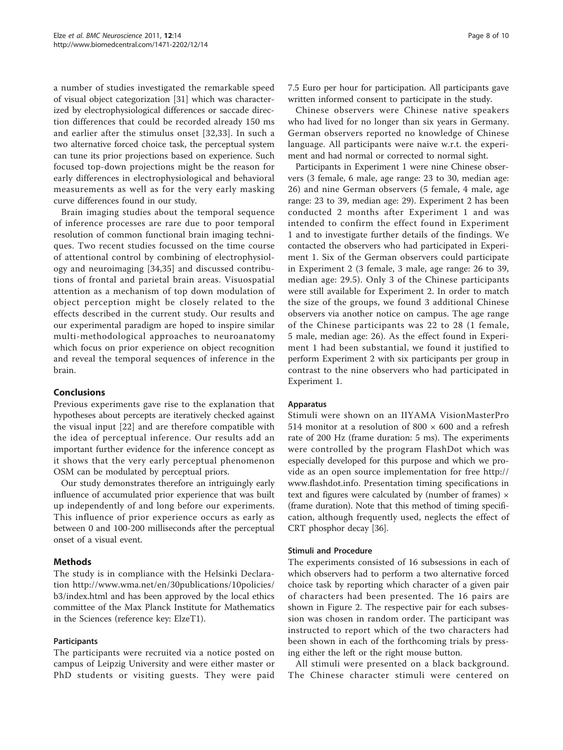a number of studies investigated the remarkable speed of visual object categorization [[31](#page-9-0)] which was characterized by electrophysiological differences or saccade direction differences that could be recorded already 150 ms and earlier after the stimulus onset [[32,33\]](#page-9-0). In such a two alternative forced choice task, the perceptual system can tune its prior projections based on experience. Such focused top-down projections might be the reason for early differences in electrophysiological and behavioral measurements as well as for the very early masking curve differences found in our study.

Brain imaging studies about the temporal sequence of inference processes are rare due to poor temporal resolution of common functional brain imaging techniques. Two recent studies focussed on the time course of attentional control by combining of electrophysiology and neuroimaging [[34](#page-9-0),[35\]](#page-9-0) and discussed contributions of frontal and parietal brain areas. Visuospatial attention as a mechanism of top down modulation of object perception might be closely related to the effects described in the current study. Our results and our experimental paradigm are hoped to inspire similar multi-methodological approaches to neuroanatomy which focus on prior experience on object recognition and reveal the temporal sequences of inference in the brain.

## Conclusions

Previous experiments gave rise to the explanation that hypotheses about percepts are iteratively checked against the visual input [\[22\]](#page-9-0) and are therefore compatible with the idea of perceptual inference. Our results add an important further evidence for the inference concept as it shows that the very early perceptual phenomenon OSM can be modulated by perceptual priors.

Our study demonstrates therefore an intriguingly early influence of accumulated prior experience that was built up independently of and long before our experiments. This influence of prior experience occurs as early as between 0 and 100-200 milliseconds after the perceptual onset of a visual event.

## Methods

The study is in compliance with the Helsinki Declaration [http://www.wma.net/en/30publications/10policies/](http://www.wma.net/en/30publications/10policies/b3/index.html) [b3/index.html](http://www.wma.net/en/30publications/10policies/b3/index.html) and has been approved by the local ethics committee of the Max Planck Institute for Mathematics in the Sciences (reference key: ElzeT1).

## **Participants**

The participants were recruited via a notice posted on campus of Leipzig University and were either master or PhD students or visiting guests. They were paid 7.5 Euro per hour for participation. All participants gave written informed consent to participate in the study.

Chinese observers were Chinese native speakers who had lived for no longer than six years in Germany. German observers reported no knowledge of Chinese language. All participants were naive w.r.t. the experiment and had normal or corrected to normal sight.

Participants in Experiment 1 were nine Chinese observers (3 female, 6 male, age range: 23 to 30, median age: 26) and nine German observers (5 female, 4 male, age range: 23 to 39, median age: 29). Experiment 2 has been conducted 2 months after Experiment 1 and was intended to confirm the effect found in Experiment 1 and to investigate further details of the findings. We contacted the observers who had participated in Experiment 1. Six of the German observers could participate in Experiment 2 (3 female, 3 male, age range: 26 to 39, median age: 29.5). Only 3 of the Chinese participants were still available for Experiment 2. In order to match the size of the groups, we found 3 additional Chinese observers via another notice on campus. The age range of the Chinese participants was 22 to 28 (1 female, 5 male, median age: 26). As the effect found in Experiment 1 had been substantial, we found it justified to perform Experiment 2 with six participants per group in contrast to the nine observers who had participated in Experiment 1.

## Apparatus

Stimuli were shown on an IIYAMA VisionMasterPro 514 monitor at a resolution of 800  $\times$  600 and a refresh rate of 200 Hz (frame duration: 5 ms). The experiments were controlled by the program FlashDot which was especially developed for this purpose and which we provide as an open source implementation for free [http://](http://www.flashdot.info) [www.flashdot.info](http://www.flashdot.info). Presentation timing specifications in text and figures were calculated by (number of frames)  $\times$ (frame duration). Note that this method of timing specification, although frequently used, neglects the effect of CRT phosphor decay [\[36\]](#page-9-0).

#### Stimuli and Procedure

The experiments consisted of 16 subsessions in each of which observers had to perform a two alternative forced choice task by reporting which character of a given pair of characters had been presented. The 16 pairs are shown in Figure [2](#page-3-0). The respective pair for each subsession was chosen in random order. The participant was instructed to report which of the two characters had been shown in each of the forthcoming trials by pressing either the left or the right mouse button.

All stimuli were presented on a black background. The Chinese character stimuli were centered on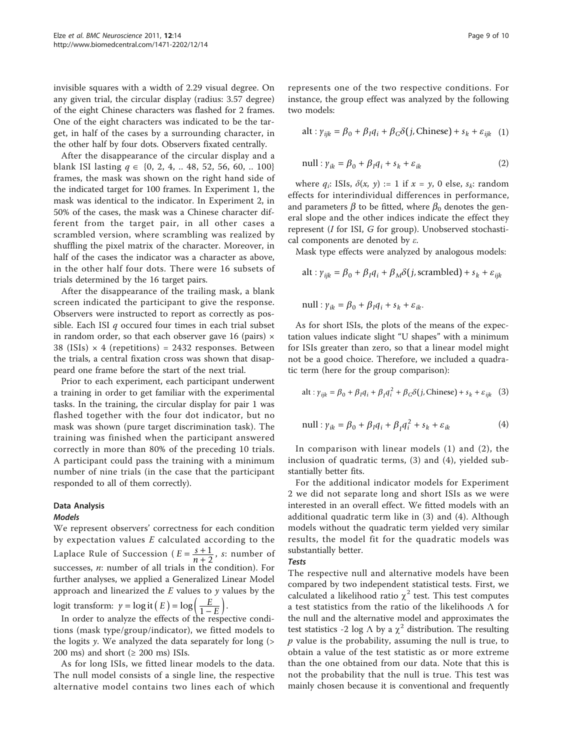invisible squares with a width of 2.29 visual degree. On any given trial, the circular display (radius: 3.57 degree) of the eight Chinese characters was flashed for 2 frames. One of the eight characters was indicated to be the target, in half of the cases by a surrounding character, in the other half by four dots. Observers fixated centrally.

After the disappearance of the circular display and a blank ISI lasting  $q \in \{0, 2, 4, \ldots 48, 52, 56, 60, \ldots 100\}$ frames, the mask was shown on the right hand side of the indicated target for 100 frames. In Experiment 1, the mask was identical to the indicator. In Experiment 2, in 50% of the cases, the mask was a Chinese character different from the target pair, in all other cases a scrambled version, where scrambling was realized by shuffling the pixel matrix of the character. Moreover, in half of the cases the indicator was a character as above, in the other half four dots. There were 16 subsets of trials determined by the 16 target pairs.

After the disappearance of the trailing mask, a blank screen indicated the participant to give the response. Observers were instructed to report as correctly as possible. Each ISI  $q$  occured four times in each trial subset in random order, so that each observer gave 16 (pairs)  $\times$ 38 (ISIs)  $\times$  4 (repetitions) = 2432 responses. Between the trials, a central fixation cross was shown that disappeard one frame before the start of the next trial.

Prior to each experiment, each participant underwent a training in order to get familiar with the experimental tasks. In the training, the circular display for pair 1 was flashed together with the four dot indicator, but no mask was shown (pure target discrimination task). The training was finished when the participant answered correctly in more than 80% of the preceding 10 trials. A participant could pass the training with a minimum number of nine trials (in the case that the participant responded to all of them correctly).

#### Data Analysis

#### Models

We represent observers' correctness for each condition by expectation values  $E$  calculated according to the Laplace Rule of Succession ( $E = \frac{s + h}{n + h}$  $\frac{1}{2}$ , s: number of successes, n: number of all trials in the condition). For further analyses, we applied a Generalized Linear Model approach and linearized the  $E$  values to  $y$  values by the logit transform:  $\gamma = \log it(E) = \log \left( \frac{E}{1 - E} \right)$ .

In order to analyze the effects of the respective conditions (mask type/group/indicator), we fitted models to the logits  $y$ . We analyzed the data separately for long  $($ 200 ms) and short ( $\geq$  200 ms) ISIs.

As for long ISIs, we fitted linear models to the data. The null model consists of a single line, the respective alternative model contains two lines each of which

represents one of the two respective conditions. For instance, the group effect was analyzed by the following two models:

alt : 
$$
\gamma_{ijk} = \beta_0 + \beta_1 q_i + \beta_G \delta(j, \text{Chinese}) + s_k + \varepsilon_{ijk}
$$
 (1)

$$
\text{null}: \gamma_{ik} = \beta_0 + \beta_l q_i + s_k + \varepsilon_{ik} \tag{2}
$$

where  $q_i$ : ISIs,  $\delta(x, y) := 1$  if  $x = y$ , 0 else,  $s_k$ : random effects for interindividual differences in performance, and parameters  $\beta$  to be fitted, where  $\beta_0$  denotes the general slope and the other indices indicate the effect they represent (I for ISI, G for group). Unobserved stochastical components are denoted by  $\varepsilon$ .

Mask type effects were analyzed by analogous models:

alt : 
$$
\gamma_{ijk} = \beta_0 + \beta_1 q_i + \beta_M \delta(j, \text{scrambled}) + s_k + \varepsilon_{ijk}
$$

null: 
$$
\gamma_{ik} = \beta_0 + \beta_I q_i + s_k + \varepsilon_{ik}
$$
.

As for short ISIs, the plots of the means of the expectation values indicate slight "U shapes" with a minimum for ISIs greater than zero, so that a linear model might not be a good choice. Therefore, we included a quadratic term (here for the group comparison):

alt : 
$$
\gamma_{ijk} = \beta_0 + \beta_I q_i + \beta_I q_i^2 + \beta_G \delta(j, \text{Chinese}) + s_k + \varepsilon_{ijk}
$$
 (3)

null: 
$$
\gamma_{ik} = \beta_0 + \beta_l q_i + \beta_l q_i^2 + s_k + \varepsilon_{ik}
$$
 (4)

In comparison with linear models (1) and (2), the inclusion of quadratic terms, (3) and (4), yielded substantially better fits.

For the additional indicator models for Experiment 2 we did not separate long and short ISIs as we were interested in an overall effect. We fitted models with an additional quadratic term like in (3) and (4). Although models without the quadratic term yielded very similar results, the model fit for the quadratic models was substantially better.

## Tests

The respective null and alternative models have been compared by two independent statistical tests. First, we calculated a likelihood ratio  $\chi^2$  test. This test computes a test statistics from the ratio of the likelihoods Λ for the null and the alternative model and approximates the test statistics -2 log  $\Lambda$  by a  $\chi^2$  distribution. The resulting  $p$  value is the probability, assuming the null is true, to obtain a value of the test statistic as or more extreme than the one obtained from our data. Note that this is not the probability that the null is true. This test was mainly chosen because it is conventional and frequently